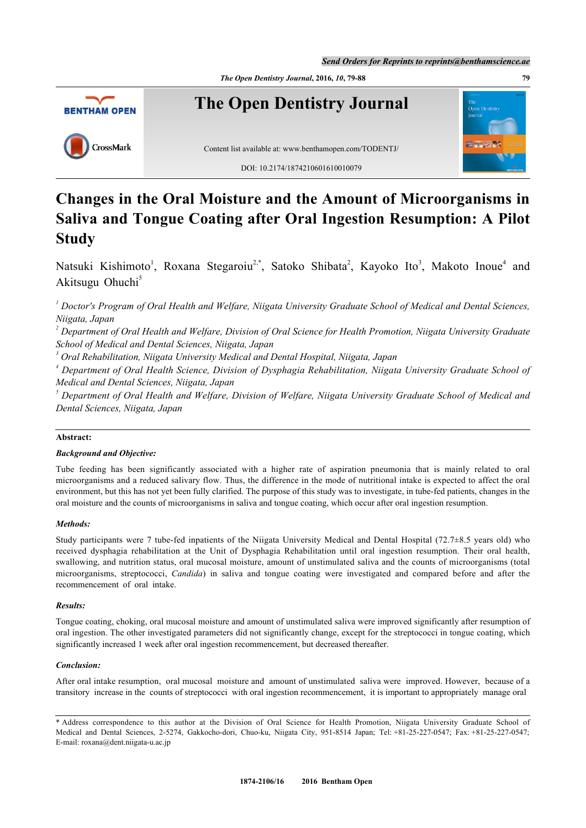*The Open Dentistry Journal***, 2016,** *10***, 79-88 79**



# **Changes in the Oral Moisture and the Amount of Microorganisms in Saliva and Tongue Coating after Oral Ingestion Resumption: A Pilot Study**

Natsuki Kishimoto<sup>[1](#page-0-0)</sup>, Roxana Stegaroiu<sup>[2,](#page-0-1)[\\*](#page-0-2)</sup>, Satoko Shibata<sup>[2](#page-0-1)</sup>, Kayoko Ito<sup>[3](#page-0-3)</sup>, Makoto Inoue<sup>[4](#page-0-4)</sup> and Akitsugu Ohuchi<sup>[5](#page-0-5)</sup>

<span id="page-0-0"></span>*1 Doctor's Program of Oral Health and Welfare, Niigata University Graduate School of Medical and Dental Sciences, Niigata, Japan*

<span id="page-0-1"></span>*2 Department of Oral Health and Welfare, Division of Oral Science for Health Promotion, Niigata University Graduate School of Medical and Dental Sciences, Niigata, Japan*

<span id="page-0-3"></span>*3 Oral Rehabilitation, Niigata University Medical and Dental Hospital, Niigata, Japan*

<span id="page-0-4"></span>*4 Department of Oral Health Science, Division of Dysphagia Rehabilitation, Niigata University Graduate School of Medical and Dental Sciences, Niigata, Japan*

<span id="page-0-5"></span>*5 Department of Oral Health and Welfare, Division of Welfare, Niigata University Graduate School of Medical and Dental Sciences, Niigata, Japan*

## **Abstract:**

#### *Background and Objective:*

Tube feeding has been significantly associated with a higher rate of aspiration pneumonia that is mainly related to oral microorganisms and a reduced salivary flow. Thus, the difference in the mode of nutritional intake is expected to affect the oral environment, but this has not yet been fully clarified. The purpose of this study was to investigate, in tube-fed patients, changes in the oral moisture and the counts of microorganisms in saliva and tongue coating, which occur after oral ingestion resumption.

## *Methods:*

Study participants were 7 tube-fed inpatients of the Niigata University Medical and Dental Hospital (72.7±8.5 years old) who received dysphagia rehabilitation at the Unit of Dysphagia Rehabilitation until oral ingestion resumption. Their oral health, swallowing, and nutrition status, oral mucosal moisture, amount of unstimulated saliva and the counts of microorganisms (total microorganisms, streptococci, *Candida*) in saliva and tongue coating were investigated and compared before and after the recommencement of oral intake.

#### *Results:*

Tongue coating, choking, oral mucosal moisture and amount of unstimulated saliva were improved significantly after resumption of oral ingestion. The other investigated parameters did not significantly change, except for the streptococci in tongue coating, which significantly increased 1 week after oral ingestion recommencement, but decreased thereafter.

## *Conclusion:*

After oral intake resumption, oral mucosal moisture and amount of unstimulated saliva were improved. However, because of a transitory increase in the counts of streptococci with oral ingestion recommencement, it is important to appropriately manage oral

<span id="page-0-2"></span><sup>\*</sup> Address correspondence to this author at the Division of Oral Science for Health Promotion, Niigata University Graduate School of Medical and Dental Sciences, 2-5274, Gakkocho-dori, Chuo-ku, Niigata City, 951-8514 Japan; Tel: +81-25-227-0547; Fax: +81-25-227-0547; E-mail: [roxana@dent.niigata-u.ac.jp](mailto:roxana@dent.niigata-u.ac.jp)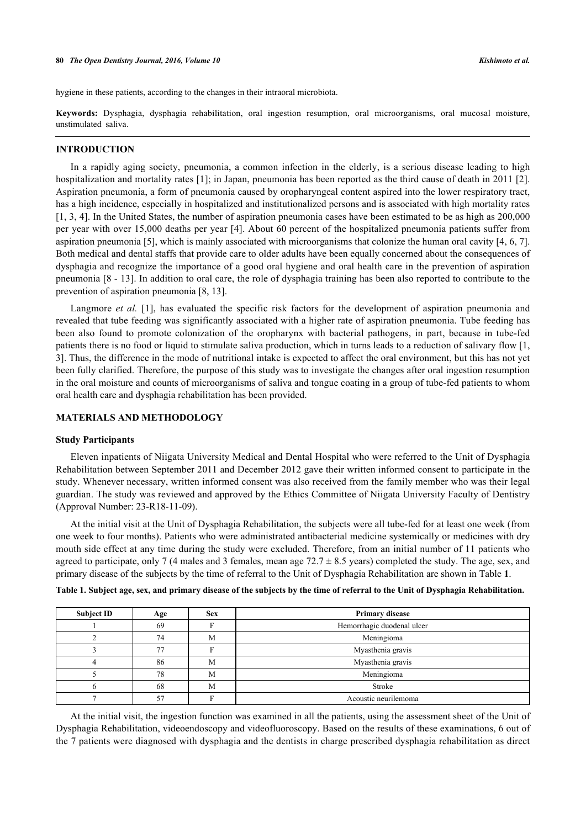hygiene in these patients, according to the changes in their intraoral microbiota.

**Keywords:** Dysphagia, dysphagia rehabilitation, oral ingestion resumption, oral microorganisms, oral mucosal moisture, unstimulated saliva.

# **INTRODUCTION**

In a rapidly aging society, pneumonia, a common infection in the elderly, is a serious disease leading to high hospitalization and mortality rates [[1](#page-8-0)]; in Japan, pneumonia has been reported as the third cause of death in 2011 [[2\]](#page-8-1). Aspiration pneumonia, a form of pneumonia caused by oropharyngeal content aspired into the lower respiratory tract, has a high incidence, especially in hospitalized and institutionalized persons and is associated with high mortality rates [\[1](#page-8-0), [3](#page-8-2), [4\]](#page-8-3). In the United States, the number of aspiration pneumonia cases have been estimated to be as high as 200,000 per year with over 15,000 deaths per year [[4\]](#page-8-3). About 60 percent of the hospitalized pneumonia patients suffer from aspiration pneumonia [\[5](#page-8-4)], which is mainly associated with microorganisms that colonize the human oral cavity [[4,](#page-8-3) [6,](#page-8-5) [7\]](#page-8-6). Both medical and dental staffs that provide care to older adults have been equally concerned about the consequences of dysphagia and recognize the importance of a good oral hygiene and oral health care in the prevention of aspiration pneumonia [\[8](#page-8-7) - [13\]](#page-9-0). In addition to oral care, the role of dysphagia training has been also reported to contribute to the prevention of aspiration pneumonia [\[8](#page-8-7), [13](#page-9-0)].

Langmore *et al.* [\[1](#page-8-0)], has evaluated the specific risk factors for the development of aspiration pneumonia and revealed that tube feeding was significantly associated with a higher rate of aspiration pneumonia. Tube feeding has been also found to promote colonization of the oropharynx with bacterial pathogens, in part, because in tube-fed patients there is no food or liquid to stimulate saliva production, which in turns leads to a reduction of salivary flow [\[1](#page-8-0), [3\]](#page-8-2). Thus, the difference in the mode of nutritional intake is expected to affect the oral environment, but this has not yet been fully clarified. Therefore, the purpose of this study was to investigate the changes after oral ingestion resumption in the oral moisture and counts of microorganisms of saliva and tongue coating in a group of tube-fed patients to whom oral health care and dysphagia rehabilitation has been provided.

# **MATERIALS AND METHODOLOGY**

#### **Study Participants**

Eleven inpatients of Niigata University Medical and Dental Hospital who were referred to the Unit of Dysphagia Rehabilitation between September 2011 and December 2012 gave their written informed consent to participate in the study. Whenever necessary, written informed consent was also received from the family member who was their legal guardian. The study was reviewed and approved by the Ethics Committee of Niigata University Faculty of Dentistry (Approval Number: 23-R18-11-09).

At the initial visit at the Unit of Dysphagia Rehabilitation, the subjects were all tube-fed for at least one week (from one week to four months). Patients who were administrated antibacterial medicine systemically or medicines with dry mouth side effect at any time during the study were excluded. Therefore, from an initial number of 11 patients who agreed to participate, only 7 (4 males and 3 females, mean age  $72.7 \pm 8.5$  years) completed the study. The age, sex, and primary disease of the subjects by the time of referral to the Unit of Dysphagia Rehabilitation are shown in Table **[1](#page-1-0)**.

<span id="page-1-0"></span>

|  |  | Table 1. Subject age, sex, and primary disease of the subjects by the time of referral to the Unit of Dysphagia Rehabilitation. |
|--|--|---------------------------------------------------------------------------------------------------------------------------------|
|  |  |                                                                                                                                 |

| <b>Subject ID</b> | Age | <b>Sex</b> | Primary disease            |
|-------------------|-----|------------|----------------------------|
|                   | 69  |            | Hemorrhagic duodenal ulcer |
|                   | 74  | M          | Meningioma                 |
|                   | 77  |            | Myasthenia gravis          |
|                   | 86  | M          | Myasthenia gravis          |
|                   | 78  | M          | Meningioma                 |
|                   | 68  | M          | Stroke                     |
|                   | 57  |            | Acoustic neurilemoma       |

At the initial visit, the ingestion function was examined in all the patients, using the assessment sheet of the Unit of Dysphagia Rehabilitation, videoendoscopy and videofluoroscopy. Based on the results of these examinations, 6 out of the 7 patients were diagnosed with dysphagia and the dentists in charge prescribed dysphagia rehabilitation as direct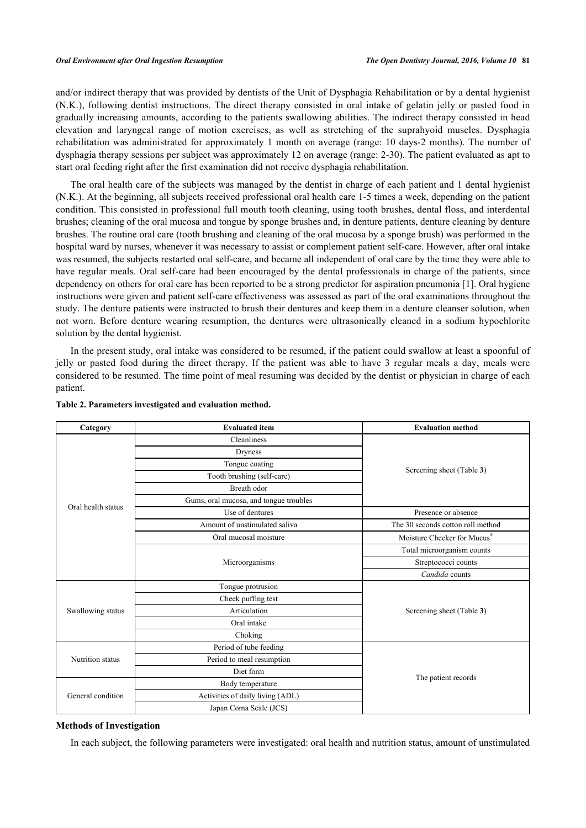#### *Oral Environment after Oral Ingestion Resumption The Open Dentistry Journal, 2016, Volume 10* **81**

and/or indirect therapy that was provided by dentists of the Unit of Dysphagia Rehabilitation or by a dental hygienist (N.K.), following dentist instructions. The direct therapy consisted in oral intake of gelatin jelly or pasted food in gradually increasing amounts, according to the patients swallowing abilities. The indirect therapy consisted in head elevation and laryngeal range of motion exercises, as well as stretching of the suprahyoid muscles. Dysphagia rehabilitation was administrated for approximately 1 month on average (range: 10 days-2 months). The number of dysphagia therapy sessions per subject was approximately 12 on average (range: 2-30). The patient evaluated as apt to start oral feeding right after the first examination did not receive dysphagia rehabilitation.

The oral health care of the subjects was managed by the dentist in charge of each patient and 1 dental hygienist (N.K.). At the beginning, all subjects received professional oral health care 1-5 times a week, depending on the patient condition. This consisted in professional full mouth tooth cleaning, using tooth brushes, dental floss, and interdental brushes; cleaning of the oral mucosa and tongue by sponge brushes and, in denture patients, denture cleaning by denture brushes. The routine oral care (tooth brushing and cleaning of the oral mucosa by a sponge brush) was performed in the hospital ward by nurses, whenever it was necessary to assist or complement patient self-care. However, after oral intake was resumed, the subjects restarted oral self-care, and became all independent of oral care by the time they were able to have regular meals. Oral self-care had been encouraged by the dental professionals in charge of the patients, since dependency on others for oral care has been reported to be a strong predictor for aspiration pneumonia [\[1](#page-8-0)]. Oral hygiene instructions were given and patient self-care effectiveness was assessed as part of the oral examinations throughout the study. The denture patients were instructed to brush their dentures and keep them in a denture cleanser solution, when not worn. Before denture wearing resumption, the dentures were ultrasonically cleaned in a sodium hypochlorite solution by the dental hygienist.

In the present study, oral intake was considered to be resumed, if the patient could swallow at least a spoonful of jelly or pasted food during the direct therapy. If the patient was able to have 3 regular meals a day, meals were considered to be resumed. The time point of meal resuming was decided by the dentist or physician in charge of each patient.

| Category           | <b>Evaluated item</b>                                                                                                                                                                                                                                                                                                                  | <b>Evaluation method</b>          |  |
|--------------------|----------------------------------------------------------------------------------------------------------------------------------------------------------------------------------------------------------------------------------------------------------------------------------------------------------------------------------------|-----------------------------------|--|
|                    | Cleanliness                                                                                                                                                                                                                                                                                                                            |                                   |  |
|                    | Dryness                                                                                                                                                                                                                                                                                                                                |                                   |  |
|                    | Tongue coating                                                                                                                                                                                                                                                                                                                         |                                   |  |
|                    | Tooth brushing (self-care)                                                                                                                                                                                                                                                                                                             | Screening sheet (Table 3)         |  |
|                    | Breath odor                                                                                                                                                                                                                                                                                                                            |                                   |  |
|                    | Gums, oral mucosa, and tongue troubles                                                                                                                                                                                                                                                                                                 |                                   |  |
| Oral health status | Use of dentures<br>Amount of unstimulated saliva<br>Oral mucosal moisture<br>Microorganisms<br>Tongue protrusion<br>Cheek puffing test<br>Articulation<br>Oral intake<br>Choking<br>Period of tube feeding<br>Period to meal resumption<br>Diet form<br>Body temperature<br>Activities of daily living (ADL)<br>Japan Coma Scale (JCS) | Presence or absence               |  |
|                    |                                                                                                                                                                                                                                                                                                                                        | The 30 seconds cotton roll method |  |
|                    |                                                                                                                                                                                                                                                                                                                                        | Moisture Checker for Mucus®       |  |
|                    |                                                                                                                                                                                                                                                                                                                                        | Total microorganism counts        |  |
|                    |                                                                                                                                                                                                                                                                                                                                        | Streptococci counts               |  |
|                    |                                                                                                                                                                                                                                                                                                                                        | Candida counts                    |  |
|                    |                                                                                                                                                                                                                                                                                                                                        |                                   |  |
|                    |                                                                                                                                                                                                                                                                                                                                        |                                   |  |
| Swallowing status  |                                                                                                                                                                                                                                                                                                                                        | Screening sheet (Table 3)         |  |
|                    |                                                                                                                                                                                                                                                                                                                                        |                                   |  |
|                    |                                                                                                                                                                                                                                                                                                                                        |                                   |  |
|                    |                                                                                                                                                                                                                                                                                                                                        |                                   |  |
| Nutrition status   |                                                                                                                                                                                                                                                                                                                                        |                                   |  |
|                    |                                                                                                                                                                                                                                                                                                                                        |                                   |  |
|                    |                                                                                                                                                                                                                                                                                                                                        | The patient records               |  |
| General condition  |                                                                                                                                                                                                                                                                                                                                        |                                   |  |
|                    |                                                                                                                                                                                                                                                                                                                                        |                                   |  |

#### <span id="page-2-0"></span>**Table 2. Parameters investigated and evaluation method.**

#### **Methods of Investigation**

In each subject, the following parameters were investigated: oral health and nutrition status, amount of unstimulated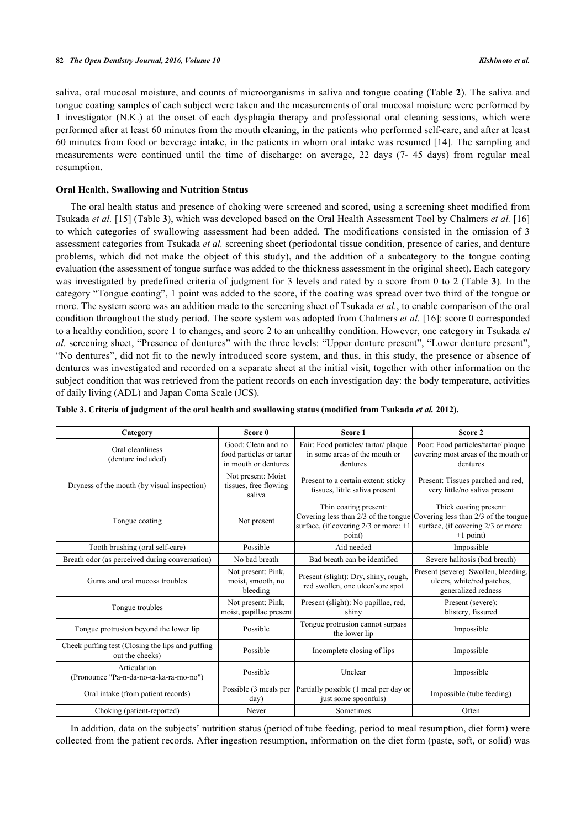saliva, oral mucosal moisture, and counts of microorganisms in saliva and tongue coating (Table **[2](#page-2-0)**). The saliva and tongue coating samples of each subject were taken and the measurements of oral mucosal moisture were performed by 1 investigator (N.K.) at the onset of each dysphagia therapy and professional oral cleaning sessions, which were performed after at least 60 minutes from the mouth cleaning, in the patients who performed self-care, and after at least 60 minutes from food or beverage intake, in the patients in whom oral intake was resumed [\[14\]](#page-9-1). The sampling and measurements were continued until the time of discharge: on average, 22 days (7- 45 days) from regular meal resumption.

## **Oral Health, Swallowing and Nutrition Status**

The oral health status and presence of choking were screened and scored, using a screening sheet modified from Tsukada *et al.* [[15](#page-9-2)] (Table **[3](#page-3-0)**), which was developed based on the Oral Health Assessment Tool by Chalmers *et al.* [\[16](#page-9-3)] to which categories of swallowing assessment had been added. The modifications consisted in the omission of 3 assessment categories from Tsukada *et al.* screening sheet (periodontal tissue condition, presence of caries, and denture problems, which did not make the object of this study), and the addition of a subcategory to the tongue coating evaluation (the assessment of tongue surface was added to the thickness assessment in the original sheet). Each category was investigated by predefined criteria of judgment for 3 levels and rated by a score from 0 to 2 (Table **[3](#page-3-0)**). In the category "Tongue coating", 1 point was added to the score, if the coating was spread over two third of the tongue or more. The system score was an addition made to the screening sheet of Tsukada *et al.*, to enable comparison of the oral condition throughout the study period. The score system was adopted from Chalmers *et al.* [\[16](#page-9-3)]: score 0 corresponded to a healthy condition, score 1 to changes, and score 2 to an unhealthy condition. However, one category in Tsukada *et al.* screening sheet, "Presence of dentures" with the three levels: "Upper denture present", "Lower denture present", "No dentures", did not fit to the newly introduced score system, and thus, in this study, the presence or absence of dentures was investigated and recorded on a separate sheet at the initial visit, together with other information on the subject condition that was retrieved from the patient records on each investigation day: the body temperature, activities of daily living (ADL) and Japan Coma Scale (JCS).

| Category                                                            | Score 0                                                                | Score 1                                                                                                              | Score 2                                                                                                             |
|---------------------------------------------------------------------|------------------------------------------------------------------------|----------------------------------------------------------------------------------------------------------------------|---------------------------------------------------------------------------------------------------------------------|
| Oral cleanliness<br>(denture included)                              | Good: Clean and no<br>food particles or tartar<br>in mouth or dentures | Fair: Food particles/tartar/plaque<br>in some areas of the mouth or<br>dentures                                      | Poor: Food particles/tartar/ plaque<br>covering most areas of the mouth or<br>dentures                              |
| Dryness of the mouth (by visual inspection)                         | Not present: Moist<br>tissues, free flowing<br>saliva                  | Present to a certain extent: sticky<br>tissues, little saliva present                                                | Present: Tissues parched and red,<br>very little/no saliva present                                                  |
| Tongue coating                                                      | Not present                                                            | Thin coating present:<br>Covering less than 2/3 of the tongue<br>surface, (if covering $2/3$ or more: $+1$<br>point) | Thick coating present:<br>Covering less than 2/3 of the tongue<br>surface, (if covering 2/3 or more:<br>$+1$ point) |
| Tooth brushing (oral self-care)                                     | Possible                                                               | Aid needed                                                                                                           | Impossible                                                                                                          |
| Breath odor (as perceived during conversation)                      | No bad breath                                                          | Bad breath can be identified                                                                                         | Severe halitosis (bad breath)                                                                                       |
| Gums and oral mucosa troubles                                       | Not present: Pink,<br>moist, smooth, no<br>bleeding                    | Present (slight): Dry, shiny, rough,<br>red swollen, one ulcer/sore spot                                             | Present (severe): Swollen, bleeding,<br>ulcers, white/red patches,<br>generalized redness                           |
| Tongue troubles                                                     | Not present: Pink,<br>moist, papillae present                          | Present (slight): No papillae, red,<br>shiny                                                                         | Present (severe):<br>blistery, fissured                                                                             |
| Tongue protrusion beyond the lower lip                              | Possible                                                               | Tongue protrusion cannot surpass<br>the lower lip                                                                    | Impossible                                                                                                          |
| Cheek puffing test (Closing the lips and puffing<br>out the cheeks) | Possible                                                               | Incomplete closing of lips                                                                                           | Impossible                                                                                                          |
| Articulation<br>(Pronounce "Pa-n-da-no-ta-ka-ra-mo-no")             | Possible                                                               | Unclear                                                                                                              | Impossible                                                                                                          |
| Oral intake (from patient records)                                  | Possible (3 meals per<br>day)                                          | Partially possible (1 meal per day or<br>just some spoonfuls)                                                        | Impossible (tube feeding)                                                                                           |
| Choking (patient-reported)                                          | Never                                                                  | Sometimes                                                                                                            | Often                                                                                                               |

<span id="page-3-0"></span>

In addition, data on the subjects' nutrition status (period of tube feeding, period to meal resumption, diet form) were collected from the patient records. After ingestion resumption, information on the diet form (paste, soft, or solid) was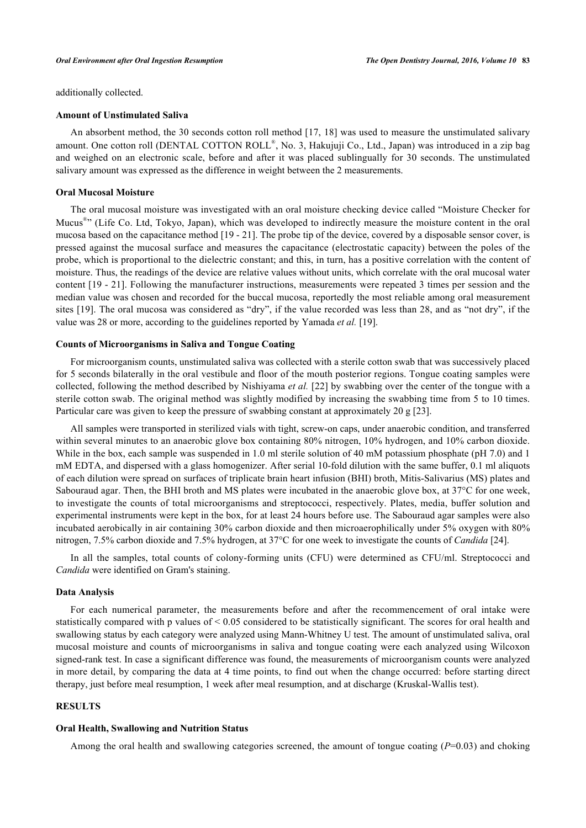additionally collected.

#### **Amount of Unstimulated Saliva**

An absorbent method, the 30 seconds cotton roll method [\[17,](#page-9-4) [18\]](#page-9-5) was used to measure the unstimulated salivary amount. One cotton roll (DENTAL COTTON ROLL®, No. 3, Hakujuji Co., Ltd., Japan) was introduced in a zip bag and weighed on an electronic scale, before and after it was placed sublingually for 30 seconds. The unstimulated salivary amount was expressed as the difference in weight between the 2 measurements.

#### **Oral Mucosal Moisture**

The oral mucosal moisture was investigated with an oral moisture checking device called "Moisture Checker for Mucus<sup>®</sup>" (Life Co. Ltd, Tokyo, Japan), which was developed to indirectly measure the moisture content in the oral mucosa based on the capacitance method [[19](#page-9-6) - [21](#page-9-7)]. The probe tip of the device, covered by a disposable sensor cover, is pressed against the mucosal surface and measures the capacitance (electrostatic capacity) between the poles of the probe, which is proportional to the dielectric constant; and this, in turn, has a positive correlation with the content of moisture. Thus, the readings of the device are relative values without units, which correlate with the oral mucosal water content [\[19](#page-9-6) - [21](#page-9-7)]. Following the manufacturer instructions, measurements were repeated 3 times per session and the median value was chosen and recorded for the buccal mucosa, reportedly the most reliable among oral measurement sites [[19\]](#page-9-6). The oral mucosa was considered as "dry", if the value recorded was less than 28, and as "not dry", if the value was 28 or more, according to the guidelines reported by Yamada *et al.* [\[19](#page-9-6)].

### **Counts of Microorganisms in Saliva and Tongue Coating**

For microorganism counts, unstimulated saliva was collected with a sterile cotton swab that was successively placed for 5 seconds bilaterally in the oral vestibule and floor of the mouth posterior regions. Tongue coating samples were collected, following the method described by Nishiyama *et al.* [[22](#page-9-8)] by swabbing over the center of the tongue with a sterile cotton swab. The original method was slightly modified by increasing the swabbing time from 5 to 10 times. Particular care was given to keep the pressure of swabbing constant at approximately 20 g [\[23](#page-9-9)].

All samples were transported in sterilized vials with tight, screw-on caps, under anaerobic condition, and transferred within several minutes to an anaerobic glove box containing 80% nitrogen, 10% hydrogen, and 10% carbon dioxide. While in the box, each sample was suspended in 1.0 ml sterile solution of 40 mM potassium phosphate (pH 7.0) and 1 mM EDTA, and dispersed with a glass homogenizer. After serial 10-fold dilution with the same buffer, 0.1 ml aliquots of each dilution were spread on surfaces of triplicate brain heart infusion (BHI) broth, Mitis-Salivarius (MS) plates and Sabouraud agar. Then, the BHI broth and MS plates were incubated in the anaerobic glove box, at 37°C for one week, to investigate the counts of total microorganisms and streptococci, respectively. Plates, media, buffer solution and experimental instruments were kept in the box, for at least 24 hours before use. The Sabouraud agar samples were also incubated aerobically in air containing 30% carbon dioxide and then microaerophilically under 5% oxygen with 80% nitrogen, 7.5% carbon dioxide and 7.5% hydrogen, at 37°C for one week to investigate the counts of *Candida* [[24\]](#page-9-10).

In all the samples, total counts of colony-forming units (CFU) were determined as CFU/ml. Streptococci and *Candida* were identified on Gram's staining.

#### **Data Analysis**

For each numerical parameter, the measurements before and after the recommencement of oral intake were statistically compared with p values of < 0.05 considered to be statistically significant. The scores for oral health and swallowing status by each category were analyzed using Mann-Whitney U test. The amount of unstimulated saliva, oral mucosal moisture and counts of microorganisms in saliva and tongue coating were each analyzed using Wilcoxon signed-rank test. In case a significant difference was found, the measurements of microorganism counts were analyzed in more detail, by comparing the data at 4 time points, to find out when the change occurred: before starting direct therapy, just before meal resumption, 1 week after meal resumption, and at discharge (Kruskal-Wallis test).

#### **RESULTS**

# **Oral Health, Swallowing and Nutrition Status**

Among the oral health and swallowing categories screened, the amount of tongue coating (*P*=0.03) and choking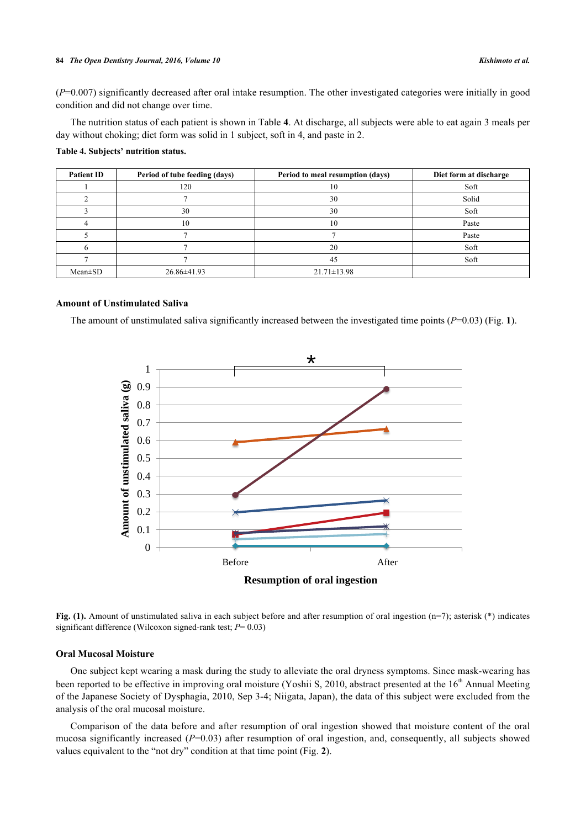(*P*=0.007) significantly decreased after oral intake resumption. The other investigated categories were initially in good condition and did not change over time.

The nutrition status of each patient is shown in Table **[4](#page-5-0)**. At discharge, all subjects were able to eat again 3 meals per day without choking; diet form was solid in 1 subject, soft in 4, and paste in 2.

<span id="page-5-0"></span>**Table 4. Subjects' nutrition status.**

| <b>Patient ID</b> | Period of tube feeding (days) | Period to meal resumption (days) | Diet form at discharge |
|-------------------|-------------------------------|----------------------------------|------------------------|
|                   | 120                           | 10                               | Soft                   |
|                   |                               | 30                               | Solid                  |
|                   | 30                            | 30                               | Soft                   |
|                   | 10                            | 10                               | Paste                  |
|                   |                               |                                  | Paste                  |
|                   |                               | 20                               | Soft                   |
|                   |                               | 45                               | Soft                   |
| $Mean \pm SD$     | 26.86±41.93                   | $21.71 \pm 13.98$                |                        |

## <span id="page-5-1"></span>**Amount of Unstimulated Saliva**

The amount of unstimulated saliva significantly increased between the investigated time points  $(P=0.03)$  (Fig. [1](#page-5-1)).



**Fig. (1).** Amount of unstimulated saliva in each subject before and after resumption of oral ingestion (n=7); asterisk (\*) indicates significant difference (Wilcoxon signed-rank test; *P*= 0.03)

#### **Oral Mucosal Moisture**

One subject kept wearing a mask during the study to alleviate the oral dryness symptoms. Since mask-wearing has been reported to be effective in improving oral moisture (Yoshii S, 2010, abstract presented at the  $16<sup>th</sup>$  Annual Meeting of the Japanese Society of Dysphagia, 2010, Sep 3-4; Niigata, Japan), the data of this subject were excluded from the analysis of the oral mucosal moisture.

<span id="page-5-2"></span>Comparison of the data before and after resumption of oral ingestion showed that moisture content of the oral mucosa significantly increased ( $P=0.03$ ) after resumption of oral ingestion, and, consequently, all subjects showed values equivalent to the "not dry" condition at that time point (Fig. **[2](#page-5-2)**).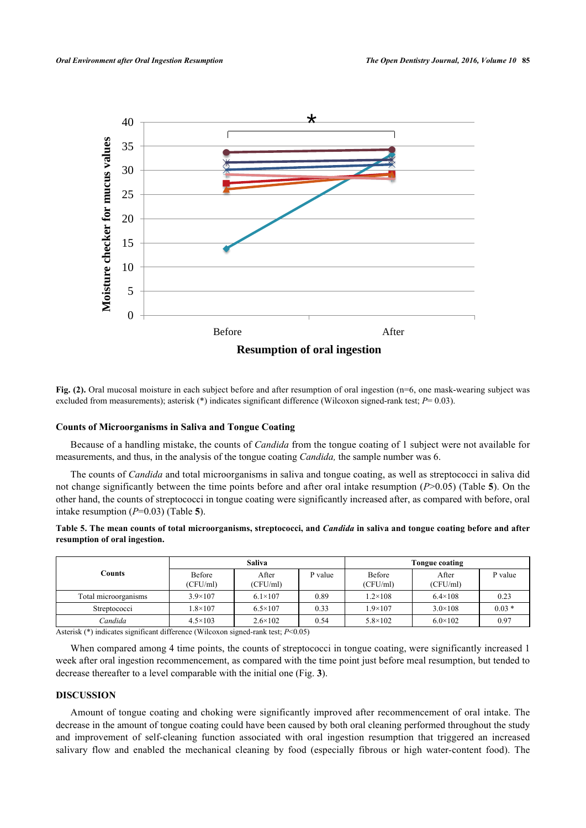

**Fig. (2).** Oral mucosal moisture in each subject before and after resumption of oral ingestion (n=6, one mask-wearing subject was excluded from measurements); asterisk (\*) indicates significant difference (Wilcoxon signed-rank test; *P*= 0.03).

#### **Counts of Microorganisms in Saliva and Tongue Coating**

Because of a handling mistake, the counts of *Candida* from the tongue coating of 1 subject were not available for measurements, and thus, in the analysis of the tongue coating *Candida,* the sample number was 6.

The counts of *Candida* and total microorganisms in saliva and tongue coating, as well as streptococci in saliva did not change significantly between the time points before and after oral intake resumption (*P*>0.05) (Table **[5](#page-6-0)**). On the other hand, the counts of streptococci in tongue coating were significantly increased after, as compared with before, oral intake resumption  $(P=0.03)$  (Table [5](#page-6-0)).

<span id="page-6-0"></span>

| Table 5. The mean counts of total microorganisms, streptococci, and <i>Candida</i> in saliva and tongue coating before and after |  |  |
|----------------------------------------------------------------------------------------------------------------------------------|--|--|
| resumption of oral ingestion.                                                                                                    |  |  |

|                      | Saliva             |                   |         | Tongue coating     |                   |         |
|----------------------|--------------------|-------------------|---------|--------------------|-------------------|---------|
| Counts -             | Before<br>(CFU/ml) | After<br>(CFU/ml) | P value | Before<br>(CFU/ml) | After<br>(CFU/ml) | P value |
| Total microorganisms | $3.9 \times 107$   | $6.1\times107$    | 0.89    | $1.2 \times 108$   | $6.4\times108$    | 0.23    |
| Streptococci         | $1.8\times107$     | $6.5 \times 107$  | 0.33    | $1.9 \times 107$   | $3.0 \times 108$  | $0.03*$ |
| Candida              | $4.5 \times 103$   | $2.6 \times 102$  | 0.54    | $5.8 \times 102$   | $6.0 \times 102$  | 0.97    |

Asterisk (\*) indicates significant difference (Wilcoxon signed-rank test; *P*<0.05)

When compared among 4 time points, the counts of streptococci in tongue coating, were significantly increased 1 week after oral ingestion recommencement, as compared with the time point just before meal resumption, but tended to decrease thereafter to a level comparable with the initial one (Fig. **[3](#page-7-0)**).

## **DISCUSSION**

Amount of tongue coating and choking were significantly improved after recommencement of oral intake. The decrease in the amount of tongue coating could have been caused by both oral cleaning performed throughout the study and improvement of self-cleaning function associated with oral ingestion resumption that triggered an increased salivary flow and enabled the mechanical cleaning by food (especially fibrous or high water-content food). The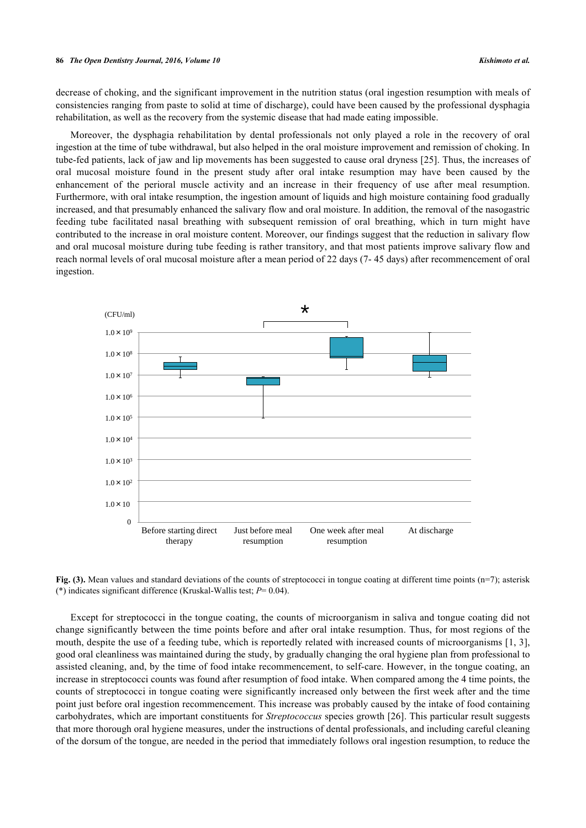decrease of choking, and the significant improvement in the nutrition status (oral ingestion resumption with meals of consistencies ranging from paste to solid at time of discharge), could have been caused by the professional dysphagia rehabilitation, as well as the recovery from the systemic disease that had made eating impossible.

Moreover, the dysphagia rehabilitation by dental professionals not only played a role in the recovery of oral ingestion at the time of tube withdrawal, but also helped in the oral moisture improvement and remission of choking. In tube-fed patients, lack of jaw and lip movements has been suggested to cause oral dryness [[25\]](#page-9-11). Thus, the increases of oral mucosal moisture found in the present study after oral intake resumption may have been caused by the enhancement of the perioral muscle activity and an increase in their frequency of use after meal resumption. Furthermore, with oral intake resumption, the ingestion amount of liquids and high moisture containing food gradually increased, and that presumably enhanced the salivary flow and oral moisture. In addition, the removal of the nasogastric feeding tube facilitated nasal breathing with subsequent remission of oral breathing, which in turn might have contributed to the increase in oral moisture content. Moreover, our findings suggest that the reduction in salivary flow and oral mucosal moisture during tube feeding is rather transitory, and that most patients improve salivary flow and reach normal levels of oral mucosal moisture after a mean period of 22 days (7- 45 days) after recommencement of oral ingestion.

<span id="page-7-0"></span>

**Fig. (3).** Mean values and standard deviations of the counts of streptococci in tongue coating at different time points (n=7); asterisk (\*) indicates significant difference (Kruskal-Wallis test; *P*= 0.04).

Except for streptococci in the tongue coating, the counts of microorganism in saliva and tongue coating did not change significantly between the time points before and after oral intake resumption. Thus, for most regions of the mouth, despite the use of a feeding tube, which is reportedly related with increased counts of microorganisms [[1](#page-8-0), [3\]](#page-8-2), good oral cleanliness was maintained during the study, by gradually changing the oral hygiene plan from professional to assisted cleaning, and, by the time of food intake recommencement, to self-care. However, in the tongue coating, an increase in streptococci counts was found after resumption of food intake. When compared among the 4 time points, the counts of streptococci in tongue coating were significantly increased only between the first week after and the time point just before oral ingestion recommencement. This increase was probably caused by the intake of food containing carbohydrates, which are important constituents for *Streptococcus* species growth [\[26](#page-9-12)]. This particular result suggests that more thorough oral hygiene measures, under the instructions of dental professionals, and including careful cleaning of the dorsum of the tongue, are needed in the period that immediately follows oral ingestion resumption, to reduce the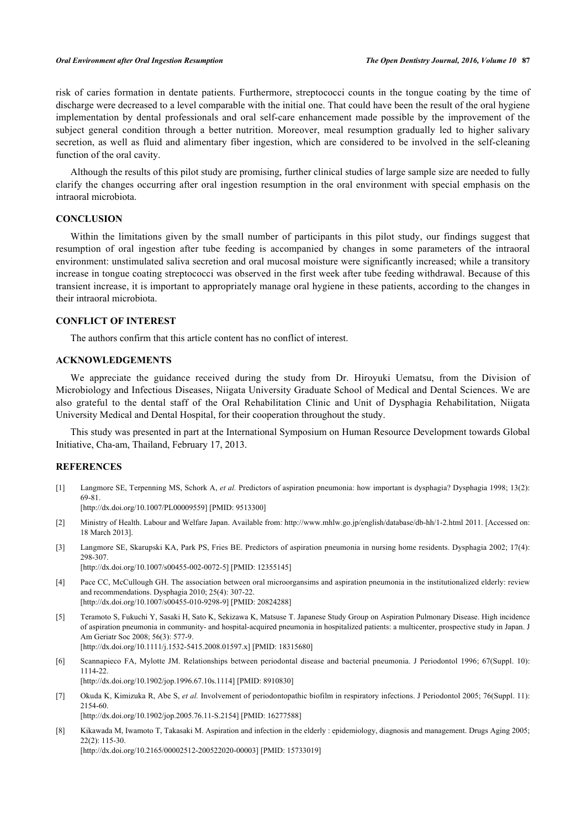risk of caries formation in dentate patients. Furthermore, streptococci counts in the tongue coating by the time of discharge were decreased to a level comparable with the initial one. That could have been the result of the oral hygiene implementation by dental professionals and oral self-care enhancement made possible by the improvement of the subject general condition through a better nutrition. Moreover, meal resumption gradually led to higher salivary secretion, as well as fluid and alimentary fiber ingestion, which are considered to be involved in the self-cleaning function of the oral cavity.

Although the results of this pilot study are promising, further clinical studies of large sample size are needed to fully clarify the changes occurring after oral ingestion resumption in the oral environment with special emphasis on the intraoral microbiota.

# **CONCLUSION**

Within the limitations given by the small number of participants in this pilot study, our findings suggest that resumption of oral ingestion after tube feeding is accompanied by changes in some parameters of the intraoral environment: unstimulated saliva secretion and oral mucosal moisture were significantly increased; while a transitory increase in tongue coating streptococci was observed in the first week after tube feeding withdrawal. Because of this transient increase, it is important to appropriately manage oral hygiene in these patients, according to the changes in their intraoral microbiota.

# **CONFLICT OF INTEREST**

The authors confirm that this article content has no conflict of interest.

# **ACKNOWLEDGEMENTS**

We appreciate the guidance received during the study from Dr. Hiroyuki Uematsu, from the Division of Microbiology and Infectious Diseases, Niigata University Graduate School of Medical and Dental Sciences. We are also grateful to the dental staff of the Oral Rehabilitation Clinic and Unit of Dysphagia Rehabilitation, Niigata University Medical and Dental Hospital, for their cooperation throughout the study.

This study was presented in part at the International Symposium on Human Resource Development towards Global Initiative, Cha-am, Thailand, February 17, 2013.

# **REFERENCES**

<span id="page-8-0"></span>[1] Langmore SE, Terpenning MS, Schork A, *et al.* Predictors of aspiration pneumonia: how important is dysphagia? Dysphagia 1998; 13(2): 69-81.

[\[http://dx.doi.org/10.1007/PL00009559](http://dx.doi.org/10.1007/PL00009559)] [PMID: [9513300\]](http://www.ncbi.nlm.nih.gov/pubmed/9513300)

- <span id="page-8-1"></span>[2] Ministry of Health. Labour and Welfare Japan. Available from:<http://www.mhlw.go.jp/english/database/db-hh/1-2.html>2011. [Accessed on: 18 March 2013].
- <span id="page-8-2"></span>[3] Langmore SE, Skarupski KA, Park PS, Fries BE. Predictors of aspiration pneumonia in nursing home residents. Dysphagia 2002; 17(4): 298-307.

[\[http://dx.doi.org/10.1007/s00455-002-0072-5\]](http://dx.doi.org/10.1007/s00455-002-0072-5) [PMID: [12355145](http://www.ncbi.nlm.nih.gov/pubmed/12355145)]

- <span id="page-8-3"></span>[4] Pace CC, McCullough GH. The association between oral microorgansims and aspiration pneumonia in the institutionalized elderly: review and recommendations. Dysphagia 2010; 25(4): 307-22. [\[http://dx.doi.org/10.1007/s00455-010-9298-9\]](http://dx.doi.org/10.1007/s00455-010-9298-9) [PMID: [20824288](http://www.ncbi.nlm.nih.gov/pubmed/20824288)]
- <span id="page-8-4"></span>[5] Teramoto S, Fukuchi Y, Sasaki H, Sato K, Sekizawa K, Matsuse T. Japanese Study Group on Aspiration Pulmonary Disease. High incidence of aspiration pneumonia in community- and hospital-acquired pneumonia in hospitalized patients: a multicenter, prospective study in Japan. J Am Geriatr Soc 2008; 56(3): 577-9. [\[http://dx.doi.org/10.1111/j.1532-5415.2008.01597.x\]](http://dx.doi.org/10.1111/j.1532-5415.2008.01597.x) [PMID: [18315680](http://www.ncbi.nlm.nih.gov/pubmed/18315680)]
- <span id="page-8-5"></span>[6] Scannapieco FA, Mylotte JM. Relationships between periodontal disease and bacterial pneumonia. J Periodontol 1996; 67(Suppl. 10): 1114-22. [\[http://dx.doi.org/10.1902/jop.1996.67.10s.1114](http://dx.doi.org/10.1902/jop.1996.67.10s.1114)] [PMID: [8910830\]](http://www.ncbi.nlm.nih.gov/pubmed/8910830)
- <span id="page-8-6"></span>[7] Okuda K, Kimizuka R, Abe S, *et al.* Involvement of periodontopathic biofilm in respiratory infections. J Periodontol 2005; 76(Suppl. 11): 2154-60. [\[http://dx.doi.org/10.1902/jop.2005.76.11-S.2154](http://dx.doi.org/10.1902/jop.2005.76.11-S.2154)] [PMID: [16277588\]](http://www.ncbi.nlm.nih.gov/pubmed/16277588)
- <span id="page-8-7"></span>[8] Kikawada M, Iwamoto T, Takasaki M. Aspiration and infection in the elderly : epidemiology, diagnosis and management. Drugs Aging 2005;  $22(2)$ : 115-30.

[\[http://dx.doi.org/10.2165/00002512-200522020-00003](http://dx.doi.org/10.2165/00002512-200522020-00003)] [PMID: [15733019\]](http://www.ncbi.nlm.nih.gov/pubmed/15733019)